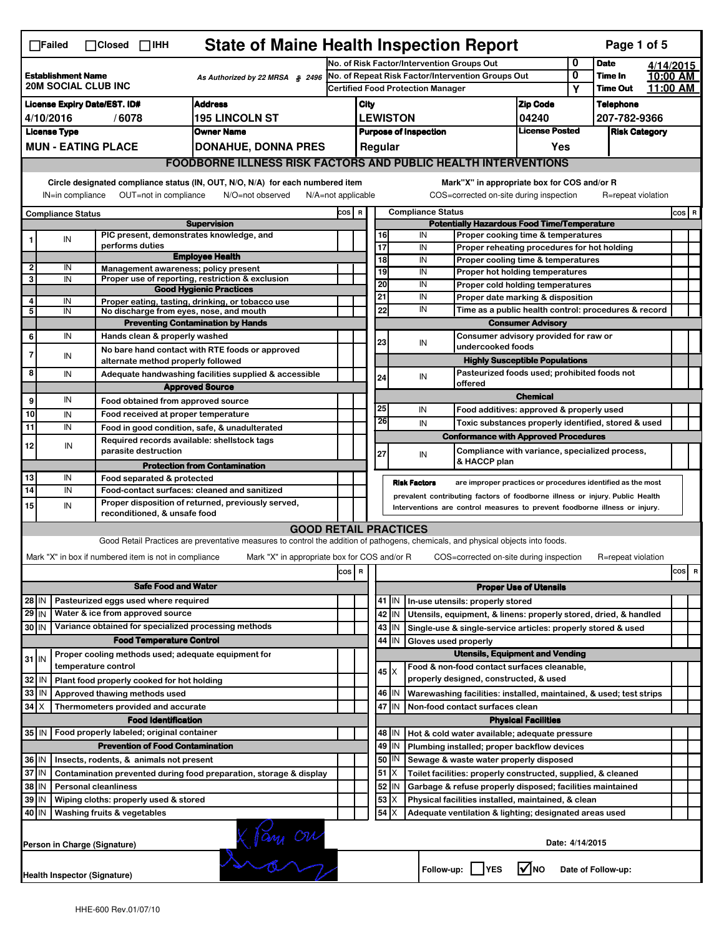| <b>State of Maine Health Inspection Report</b><br>Page 1 of 5<br>$\Box$ Failed<br>$\Box$ Closed $\Box$ IHH                                               |                                                                                                                                                                                                                                                        |                     |                                                       |                                                                                                                                   |                                            |                                            |                                                    |                                                           |                                                                                                              |                                                                                       |                               |   |                      |  |           |
|----------------------------------------------------------------------------------------------------------------------------------------------------------|--------------------------------------------------------------------------------------------------------------------------------------------------------------------------------------------------------------------------------------------------------|---------------------|-------------------------------------------------------|-----------------------------------------------------------------------------------------------------------------------------------|--------------------------------------------|--------------------------------------------|----------------------------------------------------|-----------------------------------------------------------|--------------------------------------------------------------------------------------------------------------|---------------------------------------------------------------------------------------|-------------------------------|---|----------------------|--|-----------|
|                                                                                                                                                          |                                                                                                                                                                                                                                                        |                     |                                                       |                                                                                                                                   |                                            | No. of Risk Factor/Intervention Groups Out |                                                    |                                                           |                                                                                                              |                                                                                       |                               | 0 | <b>Date</b>          |  | 4/14/2015 |
| <b>Establishment Name</b><br>As Authorized by 22 MRSA § 2496<br><b>20M SOCIAL CLUB INC</b>                                                               |                                                                                                                                                                                                                                                        |                     |                                                       | No. of Repeat Risk Factor/Intervention Groups Out                                                                                 |                                            |                                            |                                                    |                                                           |                                                                                                              | 0<br>Υ                                                                                | Time In<br><b>Time Out</b>    |   | 10:00 AM<br>11:00 AM |  |           |
| <b>Address</b><br><b>License Expiry Date/EST. ID#</b>                                                                                                    |                                                                                                                                                                                                                                                        |                     |                                                       |                                                                                                                                   | <b>Certified Food Protection Manager</b>   |                                            |                                                    |                                                           |                                                                                                              |                                                                                       | <b>Telephone</b>              |   |                      |  |           |
| <b>195 LINCOLN ST</b><br>4/10/2016<br>/6078                                                                                                              |                                                                                                                                                                                                                                                        |                     |                                                       |                                                                                                                                   | <b>Zip Code</b><br>City<br><b>LEWISTON</b> |                                            |                                                    |                                                           | 04240                                                                                                        |                                                                                       | 207-782-9366                  |   |                      |  |           |
| <b>License Type</b><br><b>Owner Name</b>                                                                                                                 |                                                                                                                                                                                                                                                        |                     |                                                       |                                                                                                                                   | <b>Purpose of Inspection</b>               |                                            |                                                    |                                                           | <b>License Posted</b>                                                                                        |                                                                                       | <b>Risk Category</b>          |   |                      |  |           |
|                                                                                                                                                          | <b>MUN - EATING PLACE</b>                                                                                                                                                                                                                              |                     |                                                       | <b>DONAHUE, DONNA PRES</b>                                                                                                        |                                            |                                            |                                                    | Regular                                                   |                                                                                                              |                                                                                       | Yes                           |   |                      |  |           |
|                                                                                                                                                          |                                                                                                                                                                                                                                                        |                     |                                                       | <b>FOODBORNE ILLNESS RISK FACTORS AND PUBLIC HEALTH INTERVENTIONS</b>                                                             |                                            |                                            |                                                    |                                                           |                                                                                                              |                                                                                       |                               |   |                      |  |           |
| Circle designated compliance status (IN, OUT, N/O, N/A) for each numbered item<br>Mark"X" in appropriate box for COS and/or R                            |                                                                                                                                                                                                                                                        |                     |                                                       |                                                                                                                                   |                                            |                                            |                                                    |                                                           |                                                                                                              |                                                                                       |                               |   |                      |  |           |
| IN=in compliance<br>OUT=not in compliance<br>COS=corrected on-site during inspection<br>R=repeat violation<br>N/O=not observed<br>$N/A = not$ applicable |                                                                                                                                                                                                                                                        |                     |                                                       |                                                                                                                                   |                                            |                                            |                                                    |                                                           |                                                                                                              |                                                                                       |                               |   |                      |  |           |
|                                                                                                                                                          | <b>Compliance Status</b>                                                                                                                                                                                                                               |                     |                                                       |                                                                                                                                   | COS R                                      |                                            |                                                    |                                                           | <b>Compliance Status</b>                                                                                     |                                                                                       |                               |   |                      |  | COS R     |
|                                                                                                                                                          |                                                                                                                                                                                                                                                        |                     |                                                       | <b>Supervision</b>                                                                                                                |                                            |                                            | <b>Potentially Hazardous Food Time/Temperature</b> |                                                           |                                                                                                              |                                                                                       |                               |   |                      |  |           |
|                                                                                                                                                          | IN                                                                                                                                                                                                                                                     |                     | performs duties                                       | PIC present, demonstrates knowledge, and                                                                                          |                                            |                                            | 16<br>$\overline{17}$                              |                                                           | IN<br>IN                                                                                                     | Proper cooking time & temperatures                                                    |                               |   |                      |  |           |
|                                                                                                                                                          |                                                                                                                                                                                                                                                        |                     |                                                       | <b>Employee Health</b>                                                                                                            |                                            |                                            | 18                                                 |                                                           | IN                                                                                                           | Proper reheating procedures for hot holding<br>Proper cooling time & temperatures     |                               |   |                      |  |           |
| $\mathbf{2}$                                                                                                                                             | IN                                                                                                                                                                                                                                                     |                     |                                                       | Management awareness; policy present                                                                                              |                                            |                                            | 19                                                 |                                                           | IN                                                                                                           | Proper hot holding temperatures                                                       |                               |   |                      |  |           |
| 3                                                                                                                                                        | IN                                                                                                                                                                                                                                                     |                     |                                                       | Proper use of reporting, restriction & exclusion<br><b>Good Hygienic Practices</b>                                                |                                            |                                            | 20                                                 |                                                           | IN                                                                                                           | Proper cold holding temperatures                                                      |                               |   |                      |  |           |
| 4                                                                                                                                                        | IN                                                                                                                                                                                                                                                     |                     |                                                       | Proper eating, tasting, drinking, or tobacco use                                                                                  |                                            |                                            | 21                                                 |                                                           | IN                                                                                                           | Proper date marking & disposition                                                     |                               |   |                      |  |           |
| 5                                                                                                                                                        | IN                                                                                                                                                                                                                                                     |                     |                                                       | No discharge from eyes, nose, and mouth                                                                                           |                                            |                                            | 22                                                 |                                                           | IN                                                                                                           | Time as a public health control: procedures & record                                  |                               |   |                      |  |           |
|                                                                                                                                                          |                                                                                                                                                                                                                                                        |                     |                                                       | <b>Preventing Contamination by Hands</b>                                                                                          |                                            |                                            |                                                    |                                                           |                                                                                                              |                                                                                       | <b>Consumer Advisory</b>      |   |                      |  |           |
| 6                                                                                                                                                        | IN                                                                                                                                                                                                                                                     |                     | Hands clean & properly washed                         |                                                                                                                                   |                                            |                                            | 23                                                 |                                                           | IN                                                                                                           | Consumer advisory provided for raw or                                                 |                               |   |                      |  |           |
| 7                                                                                                                                                        | IN                                                                                                                                                                                                                                                     |                     |                                                       | No bare hand contact with RTE foods or approved                                                                                   |                                            |                                            |                                                    |                                                           |                                                                                                              | undercooked foods                                                                     |                               |   |                      |  |           |
|                                                                                                                                                          |                                                                                                                                                                                                                                                        |                     | alternate method properly followed                    |                                                                                                                                   |                                            |                                            |                                                    |                                                           |                                                                                                              | <b>Highly Susceptible Populations</b>                                                 |                               |   |                      |  |           |
| 8                                                                                                                                                        | IN                                                                                                                                                                                                                                                     |                     |                                                       | Adequate handwashing facilities supplied & accessible                                                                             |                                            |                                            | 24                                                 |                                                           | IN                                                                                                           | Pasteurized foods used; prohibited foods not<br>offered                               |                               |   |                      |  |           |
|                                                                                                                                                          |                                                                                                                                                                                                                                                        |                     |                                                       | <b>Approved Source</b>                                                                                                            |                                            |                                            |                                                    |                                                           |                                                                                                              |                                                                                       | <b>Chemical</b>               |   |                      |  |           |
| 9                                                                                                                                                        | IN                                                                                                                                                                                                                                                     |                     | Food obtained from approved source                    |                                                                                                                                   |                                            |                                            | 25                                                 |                                                           | IN                                                                                                           | Food additives: approved & properly used                                              |                               |   |                      |  |           |
| 10                                                                                                                                                       | IN                                                                                                                                                                                                                                                     |                     | Food received at proper temperature                   |                                                                                                                                   |                                            |                                            | 26                                                 |                                                           | IN                                                                                                           | Toxic substances properly identified, stored & used                                   |                               |   |                      |  |           |
| 11                                                                                                                                                       | IN                                                                                                                                                                                                                                                     |                     |                                                       | Food in good condition, safe, & unadulterated<br>Required records available: shellstock tags                                      |                                            |                                            |                                                    |                                                           |                                                                                                              | <b>Conformance with Approved Procedures</b>                                           |                               |   |                      |  |           |
| 12                                                                                                                                                       | IN                                                                                                                                                                                                                                                     |                     | parasite destruction                                  |                                                                                                                                   |                                            |                                            | 27                                                 |                                                           | IN                                                                                                           | Compliance with variance, specialized process,                                        |                               |   |                      |  |           |
|                                                                                                                                                          |                                                                                                                                                                                                                                                        |                     |                                                       | <b>Protection from Contamination</b>                                                                                              |                                            |                                            |                                                    |                                                           |                                                                                                              | & HACCP plan                                                                          |                               |   |                      |  |           |
| 13                                                                                                                                                       | IN<br>Food separated & protected<br><b>Risk Factors</b><br>are improper practices or procedures identified as the most                                                                                                                                 |                     |                                                       |                                                                                                                                   |                                            |                                            |                                                    |                                                           |                                                                                                              |                                                                                       |                               |   |                      |  |           |
| 14<br>IN<br>Food-contact surfaces: cleaned and sanitized                                                                                                 |                                                                                                                                                                                                                                                        |                     |                                                       |                                                                                                                                   |                                            |                                            |                                                    |                                                           |                                                                                                              |                                                                                       |                               |   |                      |  |           |
| 15                                                                                                                                                       | prevalent contributing factors of foodborne illness or injury. Public Health<br>Proper disposition of returned, previously served,<br>IN<br>Interventions are control measures to prevent foodborne illness or injury.<br>reconditioned, & unsafe food |                     |                                                       |                                                                                                                                   |                                            |                                            |                                                    |                                                           |                                                                                                              |                                                                                       |                               |   |                      |  |           |
|                                                                                                                                                          |                                                                                                                                                                                                                                                        |                     |                                                       | <b>GOOD RETAIL PRACTICES</b>                                                                                                      |                                            |                                            |                                                    |                                                           |                                                                                                              |                                                                                       |                               |   |                      |  |           |
|                                                                                                                                                          |                                                                                                                                                                                                                                                        |                     |                                                       | Good Retail Practices are preventative measures to control the addition of pathogens, chemicals, and physical objects into foods. |                                            |                                            |                                                    |                                                           |                                                                                                              |                                                                                       |                               |   |                      |  |           |
|                                                                                                                                                          |                                                                                                                                                                                                                                                        |                     |                                                       |                                                                                                                                   |                                            |                                            |                                                    |                                                           |                                                                                                              |                                                                                       |                               |   |                      |  |           |
|                                                                                                                                                          |                                                                                                                                                                                                                                                        |                     | Mark "X" in box if numbered item is not in compliance | Mark "X" in appropriate box for COS and/or R                                                                                      |                                            |                                            |                                                    |                                                           |                                                                                                              | COS=corrected on-site during inspection                                               |                               |   | R=repeat violation   |  |           |
|                                                                                                                                                          |                                                                                                                                                                                                                                                        |                     |                                                       |                                                                                                                                   | cos                                        | R                                          |                                                    |                                                           |                                                                                                              |                                                                                       |                               |   |                      |  | cos<br>R  |
|                                                                                                                                                          |                                                                                                                                                                                                                                                        |                     | <b>Safe Food and Water</b>                            |                                                                                                                                   |                                            |                                            |                                                    |                                                           |                                                                                                              |                                                                                       | <b>Proper Use of Utensils</b> |   |                      |  |           |
| 28 IN                                                                                                                                                    |                                                                                                                                                                                                                                                        |                     | Pasteurized eggs used where required                  |                                                                                                                                   |                                            |                                            |                                                    | 41   IN                                                   |                                                                                                              | In-use utensils: properly stored                                                      |                               |   |                      |  |           |
| $29$ IN                                                                                                                                                  |                                                                                                                                                                                                                                                        |                     | Water & ice from approved source                      |                                                                                                                                   |                                            |                                            |                                                    | 42 IN                                                     |                                                                                                              | Utensils, equipment, & linens: properly stored, dried, & handled                      |                               |   |                      |  |           |
| 30 IN                                                                                                                                                    |                                                                                                                                                                                                                                                        |                     |                                                       | Variance obtained for specialized processing methods                                                                              |                                            |                                            |                                                    | 43 IN                                                     |                                                                                                              | Single-use & single-service articles: properly stored & used                          |                               |   |                      |  |           |
|                                                                                                                                                          |                                                                                                                                                                                                                                                        |                     | <b>Food Temperature Control</b>                       |                                                                                                                                   |                                            |                                            |                                                    | 44<br>IN                                                  | Gloves used properly                                                                                         |                                                                                       |                               |   |                      |  |           |
| $31$ IN                                                                                                                                                  |                                                                                                                                                                                                                                                        |                     |                                                       | Proper cooling methods used; adequate equipment for                                                                               |                                            |                                            |                                                    |                                                           |                                                                                                              | <b>Utensils, Equipment and Vending</b>                                                |                               |   |                      |  |           |
|                                                                                                                                                          |                                                                                                                                                                                                                                                        | temperature control |                                                       |                                                                                                                                   |                                            |                                            |                                                    | $45 \times$                                               |                                                                                                              | Food & non-food contact surfaces cleanable,<br>properly designed, constructed, & used |                               |   |                      |  |           |
| 32                                                                                                                                                       | ۱N                                                                                                                                                                                                                                                     |                     | Plant food properly cooked for hot holding            |                                                                                                                                   |                                            |                                            |                                                    |                                                           |                                                                                                              |                                                                                       |                               |   |                      |  |           |
| 33                                                                                                                                                       | IN                                                                                                                                                                                                                                                     |                     | Approved thawing methods used                         |                                                                                                                                   |                                            |                                            |                                                    | 46   IN                                                   |                                                                                                              | Warewashing facilities: installed, maintained, & used; test strips                    |                               |   |                      |  |           |
| $34$ $\times$                                                                                                                                            |                                                                                                                                                                                                                                                        |                     | Thermometers provided and accurate                    |                                                                                                                                   |                                            |                                            |                                                    | 47 IN                                                     |                                                                                                              | Non-food contact surfaces clean                                                       |                               |   |                      |  |           |
|                                                                                                                                                          |                                                                                                                                                                                                                                                        |                     | <b>Food Identification</b>                            |                                                                                                                                   |                                            |                                            |                                                    |                                                           |                                                                                                              |                                                                                       | <b>Physical Facilities</b>    |   |                      |  |           |
| 35 IN                                                                                                                                                    |                                                                                                                                                                                                                                                        |                     | Food properly labeled; original container             |                                                                                                                                   |                                            |                                            |                                                    | 48   IN                                                   |                                                                                                              | Hot & cold water available; adequate pressure                                         |                               |   |                      |  |           |
|                                                                                                                                                          |                                                                                                                                                                                                                                                        |                     | <b>Prevention of Food Contamination</b>               |                                                                                                                                   |                                            |                                            | 49                                                 | IN<br>50<br>IN                                            |                                                                                                              | Plumbing installed; proper backflow devices                                           |                               |   |                      |  |           |
| 36 IN<br>Insects, rodents, & animals not present<br>37 IN<br>Contamination prevented during food preparation, storage & display                          |                                                                                                                                                                                                                                                        |                     |                                                       |                                                                                                                                   |                                            |                                            |                                                    | 51                                                        |                                                                                                              | Sewage & waste water properly disposed                                                |                               |   |                      |  |           |
|                                                                                                                                                          |                                                                                                                                                                                                                                                        |                     |                                                       |                                                                                                                                   |                                            |                                            |                                                    | ΙX<br>52 IN                                               |                                                                                                              | Toilet facilities: properly constructed, supplied, & cleaned                          |                               |   |                      |  |           |
| 38 IN<br><b>Personal cleanliness</b>                                                                                                                     |                                                                                                                                                                                                                                                        |                     |                                                       |                                                                                                                                   | 53                                         | X                                          |                                                    | Garbage & refuse properly disposed; facilities maintained |                                                                                                              |                                                                                       |                               |   |                      |  |           |
| 39 IN<br>Wiping cloths: properly used & stored<br>40 IN<br>Washing fruits & vegetables                                                                   |                                                                                                                                                                                                                                                        |                     |                                                       |                                                                                                                                   |                                            |                                            | 54<br>X                                            |                                                           | Physical facilities installed, maintained, & clean<br>Adequate ventilation & lighting; designated areas used |                                                                                       |                               |   |                      |  |           |
|                                                                                                                                                          |                                                                                                                                                                                                                                                        |                     |                                                       |                                                                                                                                   |                                            |                                            |                                                    |                                                           |                                                                                                              |                                                                                       |                               |   |                      |  |           |
|                                                                                                                                                          | Person in Charge (Signature)                                                                                                                                                                                                                           |                     |                                                       | X Jani On                                                                                                                         |                                            |                                            |                                                    |                                                           |                                                                                                              |                                                                                       | Date: 4/14/2015               |   |                      |  |           |
|                                                                                                                                                          | <b>Health Inspector (Signature)</b>                                                                                                                                                                                                                    |                     |                                                       |                                                                                                                                   |                                            |                                            |                                                    |                                                           |                                                                                                              | Follow-up: YES                                                                        | $\sqrt{ }$ NO                 |   | Date of Follow-up:   |  |           |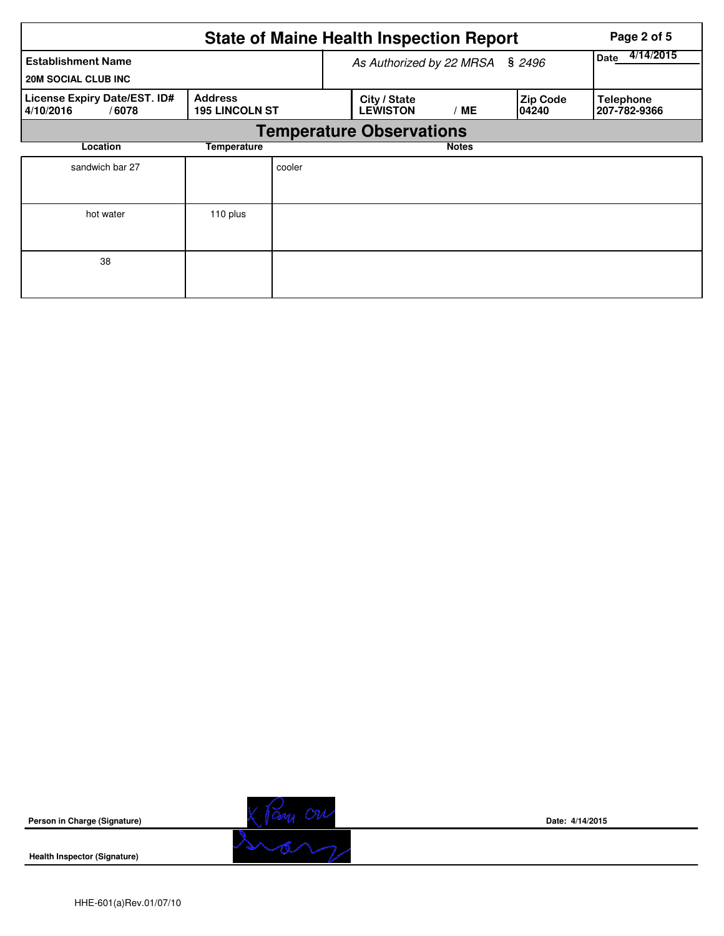| <b>State of Maine Health Inspection Report</b><br>Page 2 of 5 |                                         |                          |                                 |              |                           |                                  |  |  |  |  |
|---------------------------------------------------------------|-----------------------------------------|--------------------------|---------------------------------|--------------|---------------------------|----------------------------------|--|--|--|--|
| <b>Establishment Name</b><br><b>20M SOCIAL CLUB INC</b>       |                                         | As Authorized by 22 MRSA | 4/14/2015<br>Date               |              |                           |                                  |  |  |  |  |
| License Expiry Date/EST. ID#<br>4/10/2016<br>/6078            | <b>Address</b><br><b>195 LINCOLN ST</b> |                          | City / State<br><b>LEWISTON</b> | /ME          | <b>Zip Code</b><br>104240 | <b>Telephone</b><br>207-782-9366 |  |  |  |  |
| <b>Temperature Observations</b>                               |                                         |                          |                                 |              |                           |                                  |  |  |  |  |
| Location                                                      | Temperature                             |                          |                                 | <b>Notes</b> |                           |                                  |  |  |  |  |
| sandwich bar 27                                               |                                         | cooler                   |                                 |              |                           |                                  |  |  |  |  |
| hot water                                                     | 110 plus                                |                          |                                 |              |                           |                                  |  |  |  |  |
| 38                                                            |                                         |                          |                                 |              |                           |                                  |  |  |  |  |



**Health Inspector (Signature)** 



**Date: 4/14/2015**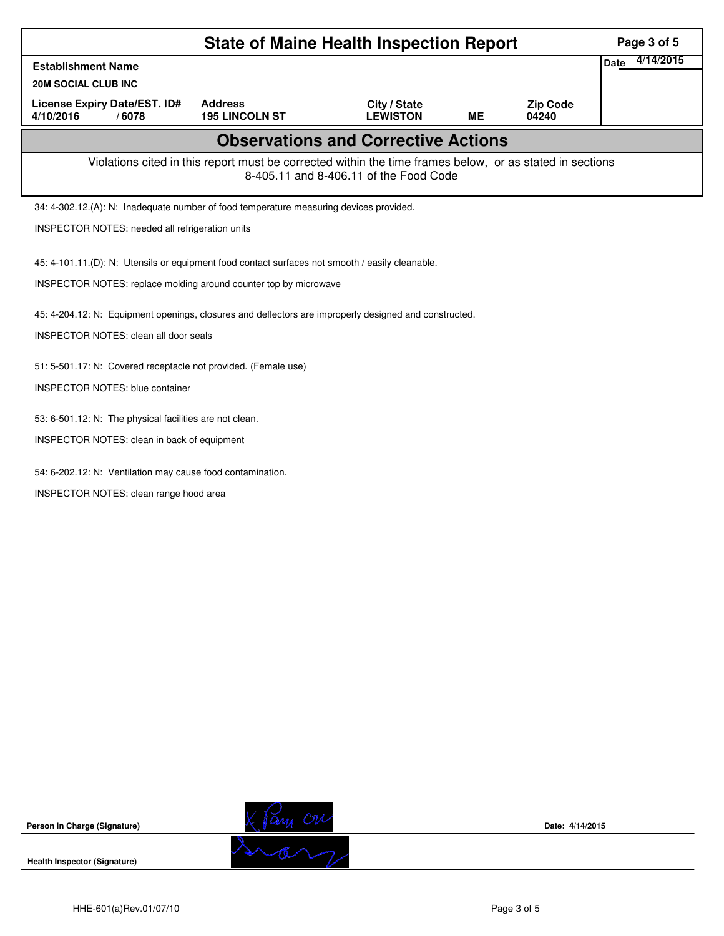| <b>State of Maine Health Inspection Report</b>                                                        |                                                                                                          |                                        |    |                          |                          |  |  |  |  |  |
|-------------------------------------------------------------------------------------------------------|----------------------------------------------------------------------------------------------------------|----------------------------------------|----|--------------------------|--------------------------|--|--|--|--|--|
| <b>Establishment Name</b>                                                                             |                                                                                                          |                                        |    |                          | 4/14/2015<br><b>Date</b> |  |  |  |  |  |
| <b>20M SOCIAL CLUB INC</b>                                                                            |                                                                                                          |                                        |    |                          |                          |  |  |  |  |  |
| <b>License Expiry Date/EST. ID#</b><br>4/10/2016<br>/6078                                             | <b>Address</b><br><b>195 LINCOLN ST</b>                                                                  | City / State<br><b>LEWISTON</b>        | ME | <b>Zip Code</b><br>04240 |                          |  |  |  |  |  |
| <b>Observations and Corrective Actions</b>                                                            |                                                                                                          |                                        |    |                          |                          |  |  |  |  |  |
|                                                                                                       | Violations cited in this report must be corrected within the time frames below, or as stated in sections | 8-405.11 and 8-406.11 of the Food Code |    |                          |                          |  |  |  |  |  |
| 34: 4-302.12.(A): N: Inadequate number of food temperature measuring devices provided.                |                                                                                                          |                                        |    |                          |                          |  |  |  |  |  |
| INSPECTOR NOTES: needed all refrigeration units                                                       |                                                                                                          |                                        |    |                          |                          |  |  |  |  |  |
| 45: 4-101.11.(D): N: Utensils or equipment food contact surfaces not smooth / easily cleanable.       |                                                                                                          |                                        |    |                          |                          |  |  |  |  |  |
| INSPECTOR NOTES: replace molding around counter top by microwave                                      |                                                                                                          |                                        |    |                          |                          |  |  |  |  |  |
|                                                                                                       |                                                                                                          |                                        |    |                          |                          |  |  |  |  |  |
| 45: 4-204.12: N: Equipment openings, closures and deflectors are improperly designed and constructed. |                                                                                                          |                                        |    |                          |                          |  |  |  |  |  |
| <b>INSPECTOR NOTES: clean all door seals</b>                                                          |                                                                                                          |                                        |    |                          |                          |  |  |  |  |  |
| 51: 5-501.17: N: Covered receptacle not provided. (Female use)                                        |                                                                                                          |                                        |    |                          |                          |  |  |  |  |  |
| <b>INSPECTOR NOTES: blue container</b>                                                                |                                                                                                          |                                        |    |                          |                          |  |  |  |  |  |
| 53: 6-501.12: N: The physical facilities are not clean.                                               |                                                                                                          |                                        |    |                          |                          |  |  |  |  |  |
| INSPECTOR NOTES: clean in back of equipment                                                           |                                                                                                          |                                        |    |                          |                          |  |  |  |  |  |
|                                                                                                       |                                                                                                          |                                        |    |                          |                          |  |  |  |  |  |
| 54: 6-202.12: N: Ventilation may cause food contamination.                                            |                                                                                                          |                                        |    |                          |                          |  |  |  |  |  |
| INSPECTOR NOTES: clean range hood area                                                                |                                                                                                          |                                        |    |                          |                          |  |  |  |  |  |
|                                                                                                       |                                                                                                          |                                        |    |                          |                          |  |  |  |  |  |
|                                                                                                       |                                                                                                          |                                        |    |                          |                          |  |  |  |  |  |
|                                                                                                       |                                                                                                          |                                        |    |                          |                          |  |  |  |  |  |
|                                                                                                       |                                                                                                          |                                        |    |                          |                          |  |  |  |  |  |
|                                                                                                       |                                                                                                          |                                        |    |                          |                          |  |  |  |  |  |

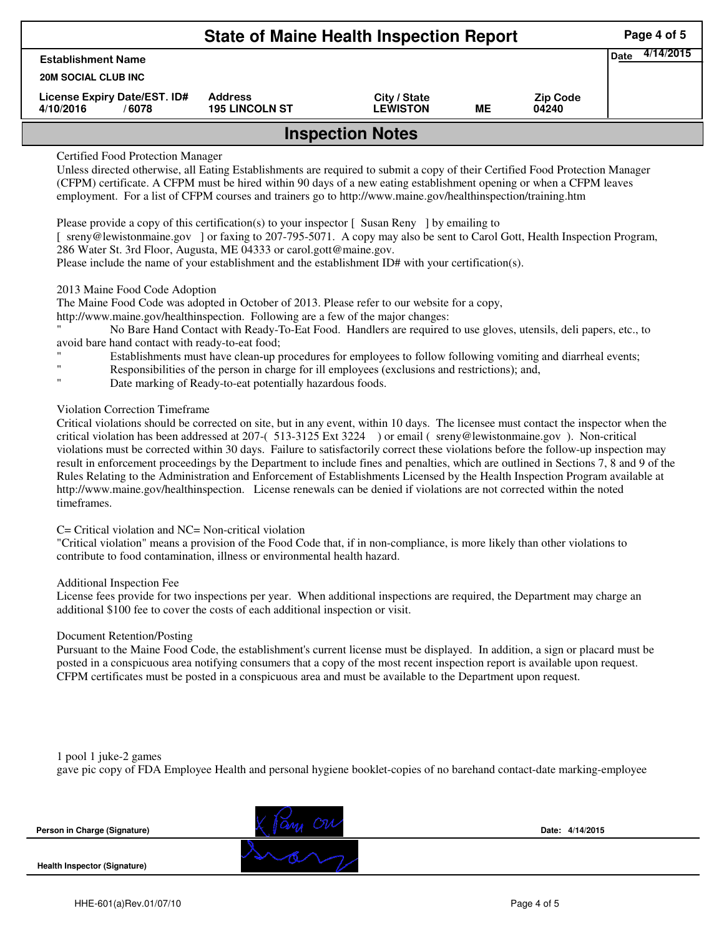|                                                    | Page 4 of 5                             |                                 |    |                          |  |  |  |  |
|----------------------------------------------------|-----------------------------------------|---------------------------------|----|--------------------------|--|--|--|--|
| <b>Establishment Name</b>                          | 4/14/2015<br><b>Date</b>                |                                 |    |                          |  |  |  |  |
| <b>20M SOCIAL CLUB INC</b>                         |                                         |                                 |    |                          |  |  |  |  |
| License Expiry Date/EST. ID#<br>4/10/2016<br>/6078 | <b>Address</b><br><b>195 LINCOLN ST</b> | City / State<br><b>LEWISTON</b> | MЕ | <b>Zip Code</b><br>04240 |  |  |  |  |
| <b>Inspection Notes</b>                            |                                         |                                 |    |                          |  |  |  |  |

## Certified Food Protection Manager

Unless directed otherwise, all Eating Establishments are required to submit a copy of their Certified Food Protection Manager (CFPM) certificate. A CFPM must be hired within 90 days of a new eating establishment opening or when a CFPM leaves employment. For a list of CFPM courses and trainers go to http://www.maine.gov/healthinspection/training.htm

Please provide a copy of this certification(s) to your inspector  $\lceil$  Susan Reny  $\rceil$  by emailing to

[ sreny@lewistonmaine.gov ] or faxing to 207-795-5071. A copy may also be sent to Carol Gott, Health Inspection Program, 286 Water St. 3rd Floor, Augusta, ME 04333 or carol.gott@maine.gov.

Please include the name of your establishment and the establishment ID# with your certification(s).

### 2013 Maine Food Code Adoption

The Maine Food Code was adopted in October of 2013. Please refer to our website for a copy,

http://www.maine.gov/healthinspection. Following are a few of the major changes:

" No Bare Hand Contact with Ready-To-Eat Food. Handlers are required to use gloves, utensils, deli papers, etc., to avoid bare hand contact with ready-to-eat food;

- Establishments must have clean-up procedures for employees to follow following vomiting and diarrheal events;
- Responsibilities of the person in charge for ill employees (exclusions and restrictions); and,
- Date marking of Ready-to-eat potentially hazardous foods.

# Violation Correction Timeframe

Critical violations should be corrected on site, but in any event, within 10 days. The licensee must contact the inspector when the critical violation has been addressed at 207-( 513-3125 Ext 3224 ) or email ( sreny@lewistonmaine.gov ). Non-critical violations must be corrected within 30 days. Failure to satisfactorily correct these violations before the follow-up inspection may result in enforcement proceedings by the Department to include fines and penalties, which are outlined in Sections 7, 8 and 9 of the Rules Relating to the Administration and Enforcement of Establishments Licensed by the Health Inspection Program available at http://www.maine.gov/healthinspection. License renewals can be denied if violations are not corrected within the noted timeframes.

### C= Critical violation and NC= Non-critical violation

"Critical violation" means a provision of the Food Code that, if in non-compliance, is more likely than other violations to contribute to food contamination, illness or environmental health hazard.

#### Additional Inspection Fee

License fees provide for two inspections per year. When additional inspections are required, the Department may charge an additional \$100 fee to cover the costs of each additional inspection or visit.

#### Document Retention/Posting

Pursuant to the Maine Food Code, the establishment's current license must be displayed. In addition, a sign or placard must be posted in a conspicuous area notifying consumers that a copy of the most recent inspection report is available upon request. CFPM certificates must be posted in a conspicuous area and must be available to the Department upon request.

1 pool 1 juke-2 games gave pic copy of FDA Employee Health and personal hygiene booklet-copies of no barehand contact-date marking-employee